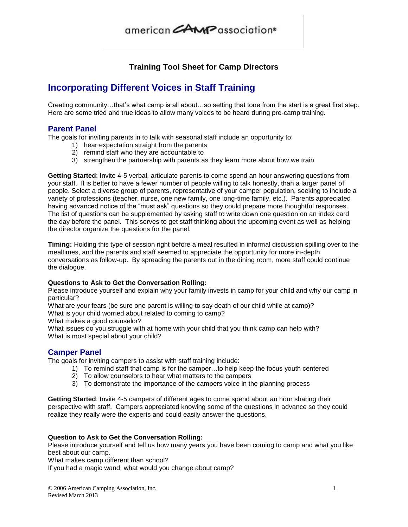# american CAMP association®

## **Training Tool Sheet for Camp Directors**

## **Incorporating Different Voices in Staff Training**

Creating community…that's what camp is all about…so setting that tone from the start is a great first step. Here are some tried and true ideas to allow many voices to be heard during pre-camp training.

## **Parent Panel**

The goals for inviting parents in to talk with seasonal staff include an opportunity to:

- 1) hear expectation straight from the parents
- 2) remind staff who they are accountable to
- 3) strengthen the partnership with parents as they learn more about how we train

**Getting Started**: Invite 4-5 verbal, articulate parents to come spend an hour answering questions from your staff. It is better to have a fewer number of people willing to talk honestly, than a larger panel of people. Select a diverse group of parents, representative of your camper population, seeking to include a variety of professions (teacher, nurse, one new family, one long-time family, etc.). Parents appreciated having advanced notice of the "must ask" questions so they could prepare more thoughtful responses. The list of questions can be supplemented by asking staff to write down one question on an index card the day before the panel. This serves to get staff thinking about the upcoming event as well as helping the director organize the questions for the panel.

**Timing:** Holding this type of session right before a meal resulted in informal discussion spilling over to the mealtimes, and the parents and staff seemed to appreciate the opportunity for more in-depth conversations as follow-up. By spreading the parents out in the dining room, more staff could continue the dialogue.

### **Questions to Ask to Get the Conversation Rolling:**

Please introduce yourself and explain why your family invests in camp for your child and why our camp in particular?

What are your fears (be sure one parent is willing to say death of our child while at camp)?

What is your child worried about related to coming to camp?

What makes a good counselor?

What issues do you struggle with at home with your child that you think camp can help with? What is most special about your child?

## **Camper Panel**

The goals for inviting campers to assist with staff training include:

- 1) To remind staff that camp is for the camper…to help keep the focus youth centered
- 2) To allow counselors to hear what matters to the campers
- 3) To demonstrate the importance of the campers voice in the planning process

**Getting Started**: Invite 4-5 campers of different ages to come spend about an hour sharing their perspective with staff. Campers appreciated knowing some of the questions in advance so they could realize they really were the experts and could easily answer the questions.

### **Question to Ask to Get the Conversation Rolling:**

Please introduce yourself and tell us how many years you have been coming to camp and what you like best about our camp.

What makes camp different than school?

If you had a magic wand, what would you change about camp?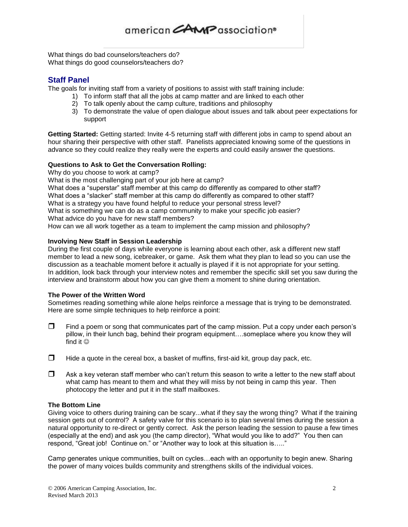What things do bad counselors/teachers do? What things do good counselors/teachers do?

## **Staff Panel**

The goals for inviting staff from a variety of positions to assist with staff training include:

- 1) To inform staff that all the jobs at camp matter and are linked to each other
	- 2) To talk openly about the camp culture, traditions and philosophy
	- 3) To demonstrate the value of open dialogue about issues and talk about peer expectations for support

**Getting Started:** Getting started: Invite 4-5 returning staff with different jobs in camp to spend about an hour sharing their perspective with other staff. Panelists appreciated knowing some of the questions in advance so they could realize they really were the experts and could easily answer the questions.

## **Questions to Ask to Get the Conversation Rolling:**

Why do you choose to work at camp?

What is the most challenging part of your job here at camp?

What does a "superstar" staff member at this camp do differently as compared to other staff? What does a "slacker" staff member at this camp do differently as compared to other staff? What is a strategy you have found helpful to reduce your personal stress level? What is something we can do as a camp community to make your specific job easier? What advice do you have for new staff members?

How can we all work together as a team to implement the camp mission and philosophy?

### **Involving New Staff in Session Leadership**

During the first couple of days while everyone is learning about each other, ask a different new staff member to lead a new song, icebreaker, or game. Ask them what they plan to lead so you can use the discussion as a teachable moment before it actually is played if it is not appropriate for your setting. In addition, look back through your interview notes and remember the specific skill set you saw during the interview and brainstorm about how you can give them a moment to shine during orientation.

### **The Power of the Written Word**

Sometimes reading something while alone helps reinforce a message that is trying to be demonstrated. Here are some simple techniques to help reinforce a point:

- $\Box$  Find a poem or song that communicates part of the camp mission. Put a copy under each person's pillow, in their lunch bag, behind their program equipment….someplace where you know they will find it  $\odot$
- $\Box$  Hide a quote in the cereal box, a basket of muffins, first-aid kit, group day pack, etc.
- $\Box$  Ask a key veteran staff member who can't return this season to write a letter to the new staff about what camp has meant to them and what they will miss by not being in camp this year. Then photocopy the letter and put it in the staff mailboxes.

## **The Bottom Line**

Giving voice to others during training can be scary...what if they say the wrong thing? What if the training session gets out of control? A safety valve for this scenario is to plan several times during the session a natural opportunity to re-direct or gently correct. Ask the person leading the session to pause a few times (especially at the end) and ask you (the camp director), "What would you like to add?" You then can respond, "Great job! Continue on." or "Another way to look at this situation is….."

Camp generates unique communities, built on cycles…each with an opportunity to begin anew. Sharing the power of many voices builds community and strengthens skills of the individual voices.